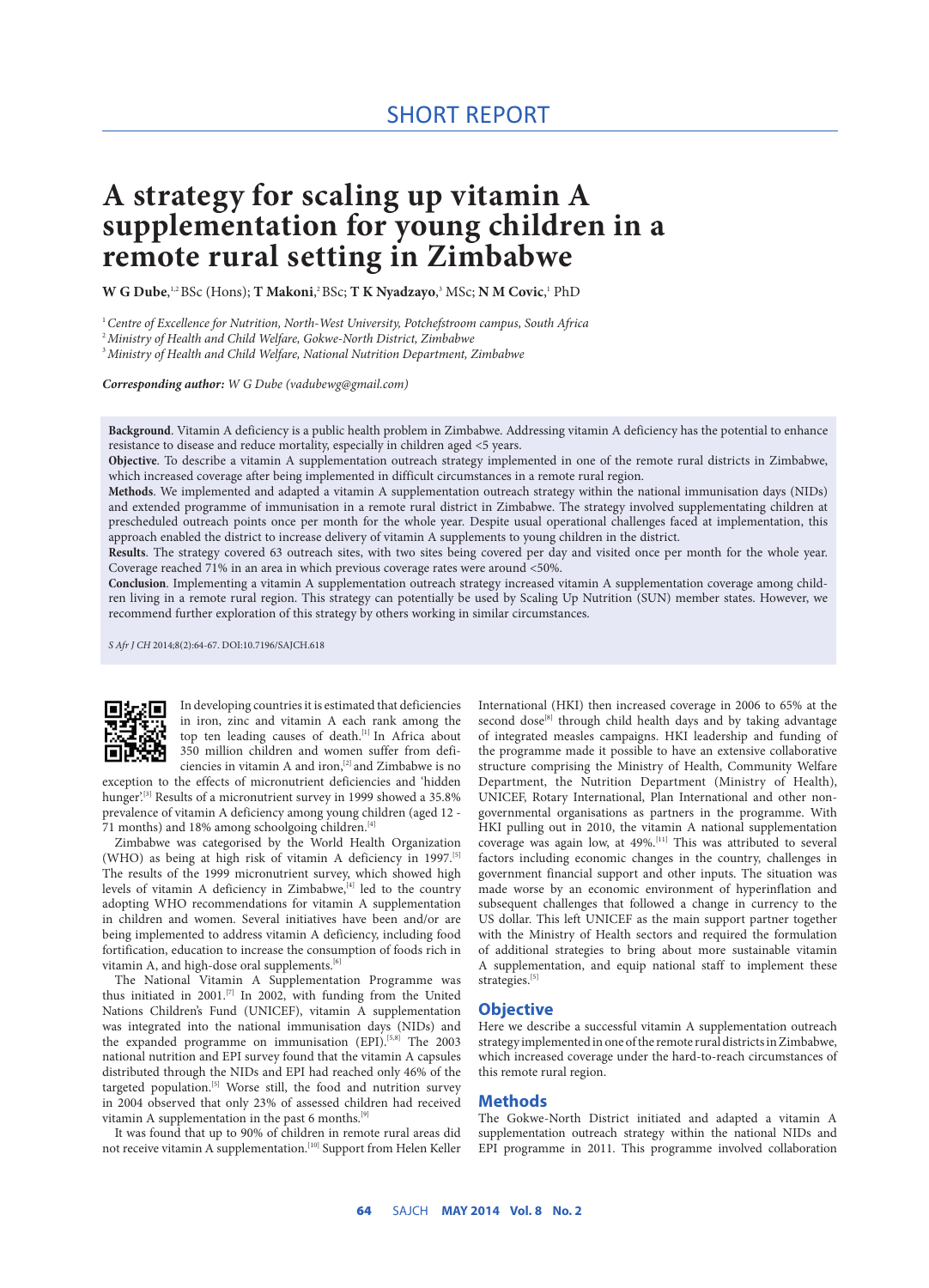# **A strategy for scaling up vitamin A supplementation for young children in a remote rural setting in Zimbabwe**

**W G Dube,'.<sup>2</sup> BSc (Hons); <b>T Makoni,<sup>2</sup> BSc; T K Nyadzayo,** 3 MSc; **N M Covic,** ' PhD

<sup>1</sup>*Centre of Excellence for Nutrition, North-West University, Potchefstroom campus, South Africa*

<sup>2</sup>*Ministry of Health and Child Welfare, Gokwe-North District, Zimbabwe*

<sup>3</sup>*Ministry of Health and Child Welfare, National Nutrition Department, Zimbabwe*

*Corresponding author: W G Dube (vadubewg@gmail.com)*

**Background**. Vitamin A deficiency is a public health problem in Zimbabwe. Addressing vitamin A deficiency has the potential to enhance resistance to disease and reduce mortality, especially in children aged <5 years.

**Objective**. To describe a vitamin A supplementation outreach strategy implemented in one of the remote rural districts in Zimbabwe, which increased coverage after being implemented in difficult circumstances in a remote rural region.

**Methods**. We implemented and adapted a vitamin A supplementation outreach strategy within the national immunisation days (NIDs) and extended programme of immunisation in a remote rural district in Zimbabwe. The strategy involved supplementating children at prescheduled outreach points once per month for the whole year. Despite usual operational challenges faced at implementation, this approach enabled the district to increase delivery of vitamin A supplements to young children in the district.

**Results**. The strategy covered 63 outreach sites, with two sites being covered per day and visited once per month for the whole year. Coverage reached 71% in an area in which previous coverage rates were around <50%.

**Conclusion**. Implementing a vitamin A supplementation outreach strategy increased vitamin A supplementation coverage among children living in a remote rural region. This strategy can potentially be used by Scaling Up Nutrition (SUN) member states. However, we recommend further exploration of this strategy by others working in similar circumstances.

*S Afr J CH* 2014;8(2):64-67. DOI:10.7196/SAJCH.618



In developing countries it is estimated that deficiencies in iron, zinc and vitamin A each rank among the top ten leading causes of death.[1] In Africa about 350 million children and women suffer from deficiencies in vitamin A and iron,<sup>[2]</sup> and Zimbabwe is no

exception to the effects of micronutrient deficiencies and 'hidden hunger'.<sup>[3]</sup> Results of a micronutrient survey in 1999 showed a 35.8% prevalence of vitamin A deficiency among young children (aged 12 -71 months) and 18% among schoolgoing children.<sup>[4]</sup>

Zimbabwe was categorised by the World Health Organization (WHO) as being at high risk of vitamin A deficiency in 1997.[5] The results of the 1999 micronutrient survey, which showed high levels of vitamin A deficiency in Zimbabwe,<sup>[4]</sup> led to the country adopting WHO recommendations for vitamin A supplementation in children and women. Several initiatives have been and/or are being implemented to address vitamin A deficiency, including food fortification, education to increase the consumption of foods rich in vitamin A, and high-dose oral supplements.<sup>[6]</sup>

The National Vitamin A Supplementation Programme was thus initiated in 2001.<sup>[7]</sup> In 2002, with funding from the United Nations Children's Fund (UNICEF), vitamin A supplementation was integrated into the national immunisation days (NIDs) and the expanded programme on immunisation (EPI).<sup>[5,8]</sup> The  $2003$ national nutrition and EPI survey found that the vitamin A capsules distributed through the NIDs and EPI had reached only 46% of the targeted population.[5] Worse still, the food and nutrition survey in 2004 observed that only 23% of assessed children had received vitamin A supplementation in the past 6 months.<sup>[9]</sup>

It was found that up to 90% of children in remote rural areas did not receive vitamin A supplementation.<sup>[10]</sup> Support from Helen Keller

International (HKI) then increased coverage in 2006 to 65% at the second dose<sup>[8]</sup> through child health days and by taking advantage of integrated measles campaigns. HKI leadership and funding of the programme made it possible to have an extensive collaborative structure comprising the Ministry of Health, Community Welfare Department, the Nutrition Department (Ministry of Health), UNICEF, Rotary International, Plan International and other nongovernmental organisations as partners in the programme. With HKI pulling out in 2010, the vitamin A national supplementation coverage was again low, at 49%.[11] This was attributed to several factors including economic changes in the country, challenges in government financial support and other inputs. The situation was made worse by an economic environment of hyperinflation and subsequent challenges that followed a change in currency to the US dollar. This left UNICEF as the main support partner together with the Ministry of Health sectors and required the formulation of additional strategies to bring about more sustainable vitamin A supplementation, and equip national staff to implement these strategies.<sup>[5]</sup>

# **Objective**

Here we describe a successful vitamin A supplementation outreach strategy implemented in one of the remote rural districts in Zimbabwe, which increased coverage under the hard-to-reach circumstances of this remote rural region.

#### **Methods**

The Gokwe-North District initiated and adapted a vitamin A supplementation outreach strategy within the national NIDs and EPI programme in 2011. This programme involved collaboration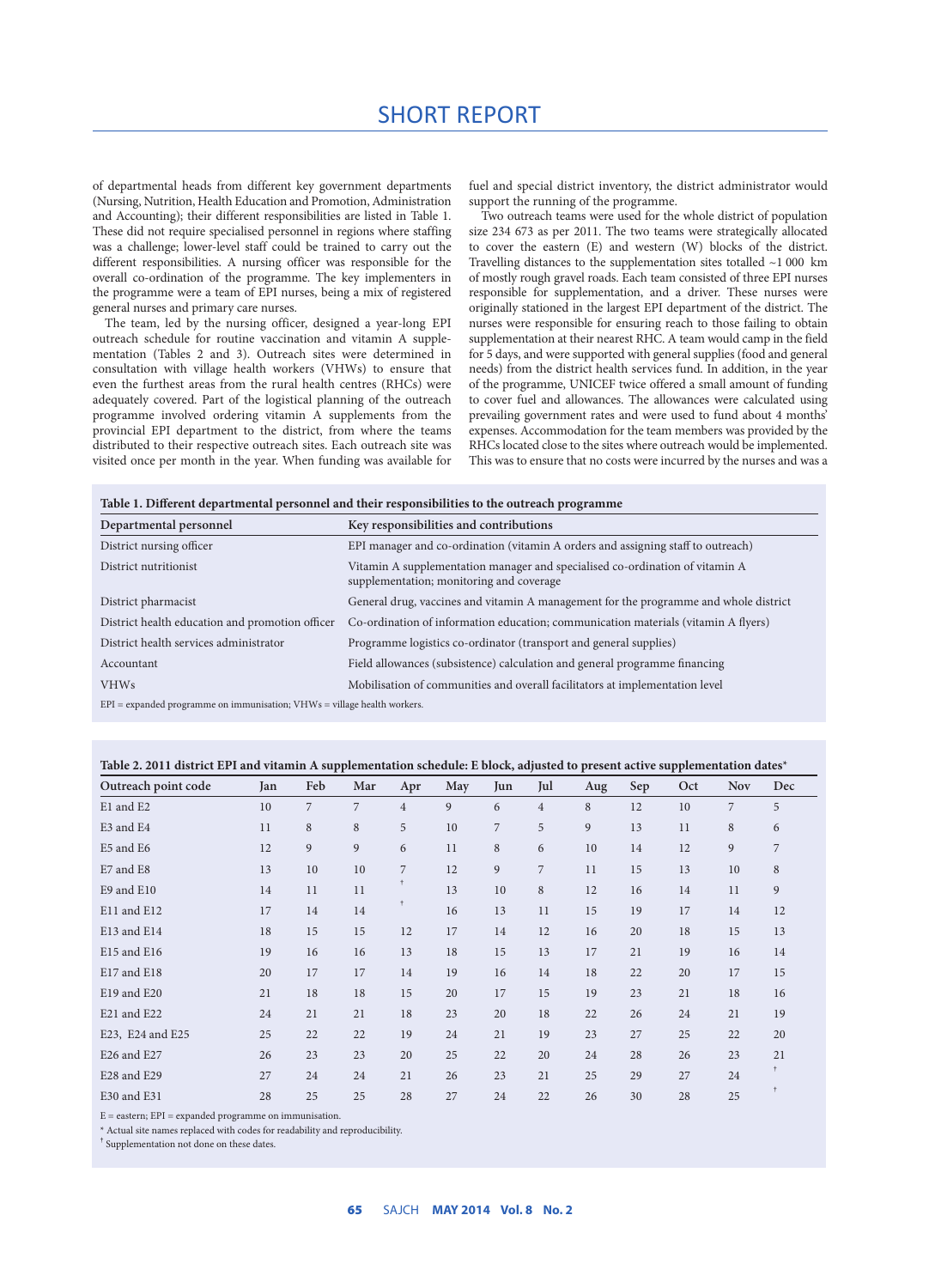# SHORT REPORT

of departmental heads from different key government departments (Nursing, Nutrition, Health Education and Promotion, Administration and Accounting); their different responsibilities are listed in Table 1. These did not require specialised personnel in regions where staffing was a challenge; lower-level staff could be trained to carry out the different responsibilities. A nursing officer was responsible for the overall co-ordination of the programme. The key implementers in the programme were a team of EPI nurses, being a mix of registered general nurses and primary care nurses.

The team, led by the nursing officer, designed a year-long EPI outreach schedule for routine vaccination and vitamin A supplementation (Tables 2 and 3). Outreach sites were determined in consultation with village health workers (VHWs) to ensure that even the furthest areas from the rural health centres (RHCs) were adequately covered. Part of the logistical planning of the outreach programme involved ordering vitamin A supplements from the provincial EPI department to the district, from where the teams distributed to their respective outreach sites. Each outreach site was visited once per month in the year. When funding was available for fuel and special district inventory, the district administrator would support the running of the programme.

Two outreach teams were used for the whole district of population size 234 673 as per 2011. The two teams were strategically allocated to cover the eastern (E) and western (W) blocks of the district. Travelling distances to the supplementation sites totalled ~1 000 km of mostly rough gravel roads. Each team consisted of three EPI nurses responsible for supplementation, and a driver. These nurses were originally stationed in the largest EPI department of the district. The nurses were responsible for ensuring reach to those failing to obtain supplementation at their nearest RHC. A team would camp in the field for 5 days, and were supported with general supplies (food and general needs) from the district health services fund. In addition, in the year of the programme, UNICEF twice offered a small amount of funding to cover fuel and allowances. The allowances were calculated using prevailing government rates and were used to fund about 4 months' expenses. Accommodation for the team members was provided by the RHCs located close to the sites where outreach would be implemented. This was to ensure that no costs were incurred by the nurses and was a

| Table 1. Different departmental personnel and their responsibilities to the outreach programme |                                                                                                                          |  |  |  |  |
|------------------------------------------------------------------------------------------------|--------------------------------------------------------------------------------------------------------------------------|--|--|--|--|
| Departmental personnel                                                                         | Key responsibilities and contributions                                                                                   |  |  |  |  |
| District nursing officer                                                                       | EPI manager and co-ordination (vitamin A orders and assigning staff to outreach)                                         |  |  |  |  |
| District nutritionist                                                                          | Vitamin A supplementation manager and specialised co-ordination of vitamin A<br>supplementation; monitoring and coverage |  |  |  |  |
| District pharmacist                                                                            | General drug, vaccines and vitamin A management for the programme and whole district                                     |  |  |  |  |
| District health education and promotion officer                                                | Co-ordination of information education; communication materials (vitamin A flyers)                                       |  |  |  |  |
| District health services administrator                                                         | Programme logistics co-ordinator (transport and general supplies)                                                        |  |  |  |  |
| Accountant                                                                                     | Field allowances (subsistence) calculation and general programme financing                                               |  |  |  |  |
| <b>VHWs</b>                                                                                    | Mobilisation of communities and overall facilitators at implementation level                                             |  |  |  |  |
|                                                                                                |                                                                                                                          |  |  |  |  |

 $EPI =$  expanded programme on immunisation;  $VHWs =$  village health workers.

### **Table 2. 2011 district EPI and vitamin A supplementation schedule: E block, adjusted to present active supplementation dates**\*

| Outreach point code | Jan | Feb            | Mar | Apr            | May | Jun            | Jul            | Aug | Sep | Oct | <b>Nov</b> | Dec              |
|---------------------|-----|----------------|-----|----------------|-----|----------------|----------------|-----|-----|-----|------------|------------------|
| E1 and E2           | 10  | $\overline{7}$ | 7   | $\overline{4}$ | 9   | 6              | $\overline{4}$ | 8   | 12  | 10  | 7          | 5                |
| E3 and E4           | 11  | 8              | 8   | 5              | 10  | $\overline{7}$ | 5              | 9   | 13  | 11  | $\,8\,$    | 6                |
| E5 and E6           | 12  | 9              | 9   | 6              | 11  | 8              | 6              | 10  | 14  | 12  | 9          | $\overline{7}$   |
| E7 and E8           | 13  | 10             | 10  | 7              | 12  | 9              | 7              | 11  | 15  | 13  | 10         | $\,8\,$          |
| E9 and E10          | 14  | 11             | 11  |                | 13  | 10             | 8              | 12  | 16  | 14  | 11         | 9                |
| E11 and E12         | 17  | 14             | 14  |                | 16  | 13             | 11             | 15  | 19  | 17  | 14         | 12               |
| E13 and E14         | 18  | 15             | 15  | 12             | 17  | 14             | 12             | 16  | 20  | 18  | 15         | 13               |
| E15 and E16         | 19  | 16             | 16  | 13             | 18  | 15             | 13             | 17  | 21  | 19  | 16         | 14               |
| E17 and E18         | 20  | 17             | 17  | 14             | 19  | 16             | 14             | 18  | 22  | 20  | 17         | 15               |
| E19 and E20         | 21  | 18             | 18  | 15             | 20  | 17             | 15             | 19  | 23  | 21  | 18         | 16               |
| E21 and E22         | 24  | 21             | 21  | 18             | 23  | 20             | 18             | 22  | 26  | 24  | 21         | 19               |
| E23, E24 and E25    | 25  | 22             | 22  | 19             | 24  | 21             | 19             | 23  | 27  | 25  | 22         | 20               |
| E26 and E27         | 26  | 23             | 23  | 20             | 25  | 22             | 20             | 24  | 28  | 26  | 23         | 21               |
| E28 and E29         | 27  | 24             | 24  | 21             | 26  | 23             | 21             | 25  | 29  | 27  | 24         |                  |
| E30 and E31         | 28  | 25             | 25  | 28             | 27  | 24             | 22             | 26  | 30  | 28  | 25         | $\ddot{\dagger}$ |

E = eastern; EPI = expanded programme on immunisation.

\* Actual site names replaced with codes for readability and reproducibility.

† Supplementation not done on these dates.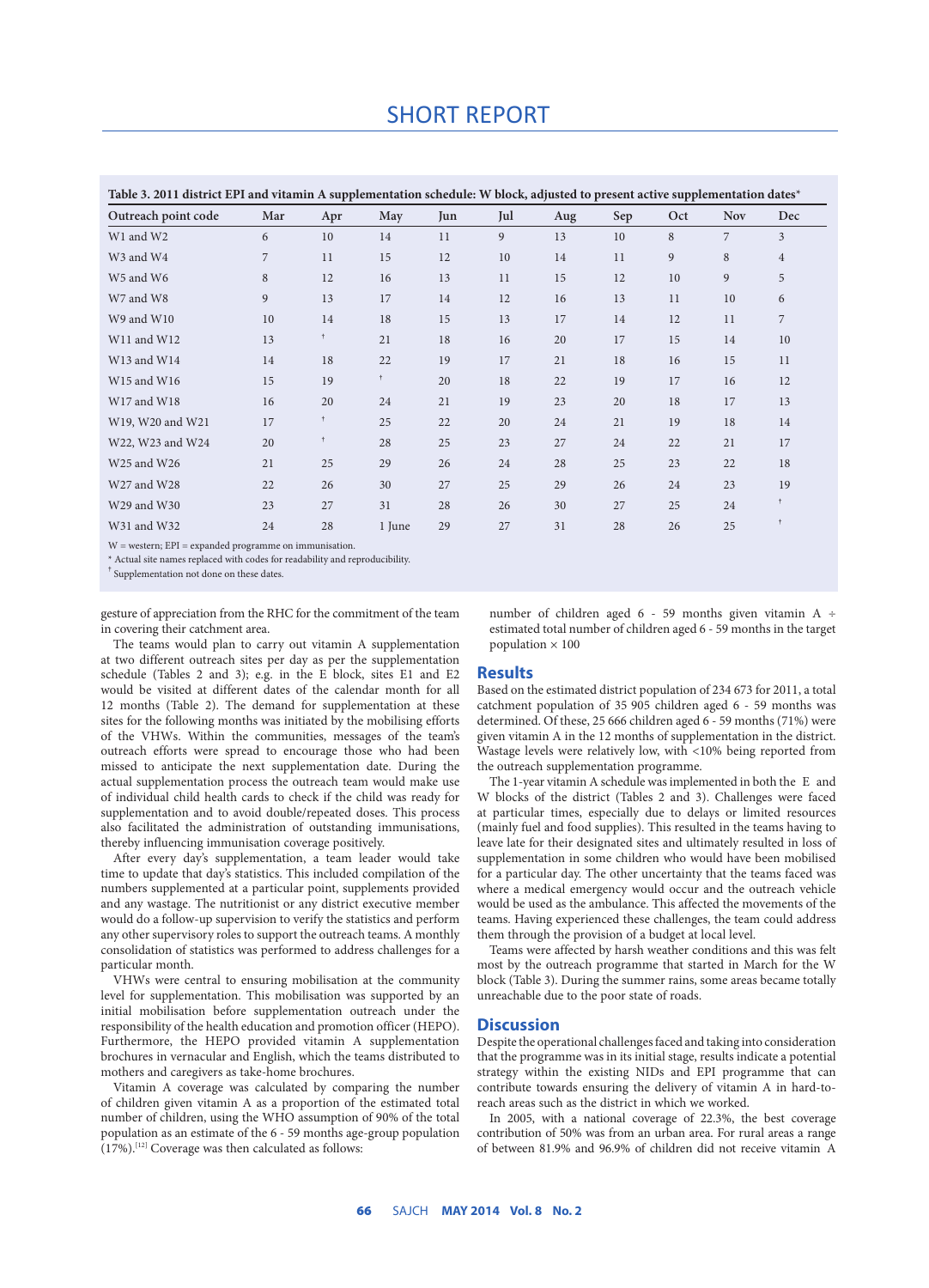| Table 3. 2011 district EPI and vitamin A supplementation schedule: W block, adjusted to present active supplementation dates* |     |            |           |     |     |     |     |     |            |                  |
|-------------------------------------------------------------------------------------------------------------------------------|-----|------------|-----------|-----|-----|-----|-----|-----|------------|------------------|
| Outreach point code                                                                                                           | Mar | Apr        | May       | Jun | Jul | Aug | Sep | Oct | <b>Nov</b> | Dec              |
| W1 and W2                                                                                                                     | 6   | 10         | 14        | 11  | 9   | 13  | 10  | 8   | 7          | 3                |
| W <sub>3</sub> and W <sub>4</sub>                                                                                             | 7   | 11         | 15        | 12  | 10  | 14  | 11  | 9   | 8          | $\overline{4}$   |
| W5 and W6                                                                                                                     | 8   | 12         | 16        | 13  | 11  | 15  | 12  | 10  | 9          | 5                |
| W7 and W8                                                                                                                     | 9   | 13         | 17        | 14  | 12  | 16  | 13  | 11  | 10         | 6                |
| W9 and W10                                                                                                                    | 10  | 14         | 18        | 15  | 13  | 17  | 14  | 12  | 11         | 7                |
| W11 and W12                                                                                                                   | 13  | $^\dagger$ | 21        | 18  | 16  | 20  | 17  | 15  | 14         | 10               |
| W13 and W14                                                                                                                   | 14  | 18         | 22        | 19  | 17  | 21  | 18  | 16  | 15         | 11               |
| W15 and W16                                                                                                                   | 15  | 19         | $\dagger$ | 20  | 18  | 22  | 19  | 17  | 16         | 12               |
| W17 and W18                                                                                                                   | 16  | 20         | 24        | 21  | 19  | 23  | 20  | 18  | 17         | 13               |
| W19, W20 and W21                                                                                                              | 17  | $^\dagger$ | 25        | 22  | 20  | 24  | 21  | 19  | 18         | 14               |
| W22, W23 and W24                                                                                                              | 20  | $^\dagger$ | 28        | 25  | 23  | 27  | 24  | 22  | 21         | 17               |
| W25 and W26                                                                                                                   | 21  | 25         | 29        | 26  | 24  | 28  | 25  | 23  | 22         | 18               |
| W27 and W28                                                                                                                   | 22  | 26         | 30        | 27  | 25  | 29  | 26  | 24  | 23         | 19               |
| W29 and W30                                                                                                                   | 23  | 27         | 31        | 28  | 26  | 30  | 27  | 25  | 24         | $\ddagger$       |
| W31 and W32                                                                                                                   | 24  | 28         | 1 June    | 29  | 27  | 31  | 28  | 26  | 25         | $\ddot{\dagger}$ |
|                                                                                                                               |     |            |           |     |     |     |     |     |            |                  |

W = western; EPI = expanded programme on immunisation. \* Actual site names replaced with codes for readability and reproducibility.

† Supplementation not done on these dates.

gesture of appreciation from the RHC for the commitment of the team in covering their catchment area.

The teams would plan to carry out vitamin A supplementation at two different outreach sites per day as per the supplementation schedule (Tables 2 and 3); e.g. in the E block, sites E1 and E2 would be visited at different dates of the calendar month for all 12 months (Table 2). The demand for supplementation at these sites for the following months was initiated by the mobilising efforts of the VHWs. Within the communities, messages of the team's outreach efforts were spread to encourage those who had been missed to anticipate the next supplementation date. During the actual supplementation process the outreach team would make use of individual child health cards to check if the child was ready for supplementation and to avoid double/repeated doses. This process also facilitated the administration of outstanding immunisations, thereby influencing immunisation coverage positively.

After every day's supplementation, a team leader would take time to update that day's statistics. This included compilation of the numbers supplemented at a particular point, supplements provided and any wastage. The nutritionist or any district executive member would do a follow-up supervision to verify the statistics and perform any other supervisory roles to support the outreach teams. A monthly consolidation of statistics was performed to address challenges for a particular month.

VHWs were central to ensuring mobilisation at the community level for supplementation. This mobilisation was supported by an initial mobilisation before supplementation outreach under the responsibility of the health education and promotion officer (HEPO). Furthermore, the HEPO provided vitamin A supplementation brochures in vernacular and English, which the teams distributed to mothers and caregivers as take-home brochures.

Vitamin A coverage was calculated by comparing the number of children given vitamin A as a proportion of the estimated total number of children, using the WHO assumption of 90% of the total population as an estimate of the 6 - 59 months age-group population  $(17%)$ .<sup>[12]</sup> Coverage was then calculated as follows:

number of children aged 6 - 59 months given vitamin A ÷ estimated total number of children aged 6 - 59 months in the target population  $\times$  100

#### **Results**

Based on the estimated district population of 234 673 for 2011, a total catchment population of 35 905 children aged 6 - 59 months was determined. Of these, 25 666 children aged 6 - 59 months (71%) were given vitamin A in the 12 months of supplementation in the district. Wastage levels were relatively low, with <10% being reported from the outreach supplementation programme.

The 1-year vitamin A schedule was implemented in both the E and W blocks of the district (Tables 2 and 3). Challenges were faced at particular times, especially due to delays or limited resources (mainly fuel and food supplies). This resulted in the teams having to leave late for their designated sites and ultimately resulted in loss of supplementation in some children who would have been mobilised for a particular day. The other uncertainty that the teams faced was where a medical emergency would occur and the outreach vehicle would be used as the ambulance. This affected the movements of the teams. Having experienced these challenges, the team could address them through the provision of a budget at local level.

Teams were affected by harsh weather conditions and this was felt most by the outreach programme that started in March for the W block (Table 3). During the summer rains, some areas became totally unreachable due to the poor state of roads.

## **Discussion**

Despite the operational challenges faced and taking into consideration that the programme was in its initial stage, results indicate a potential strategy within the existing NIDs and EPI programme that can contribute towards ensuring the delivery of vitamin A in hard-toreach areas such as the district in which we worked.

In 2005, with a national coverage of 22.3%, the best coverage contribution of 50% was from an urban area. For rural areas a range of between 81.9% and 96.9% of children did not receive vitamin A